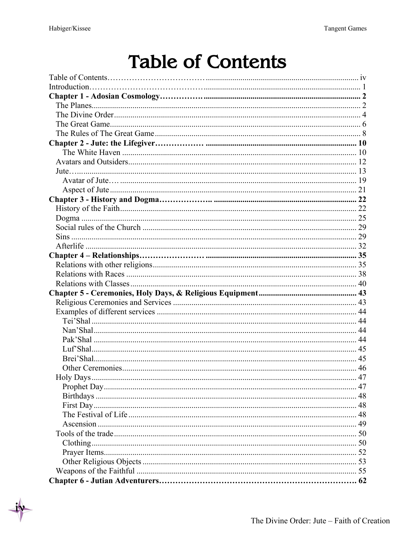## **Table of Contents**

| 47 |  |
|----|--|
|    |  |
|    |  |
|    |  |
|    |  |
|    |  |
|    |  |
|    |  |
|    |  |
|    |  |
|    |  |
|    |  |
|    |  |
|    |  |
|    |  |
|    |  |
|    |  |
|    |  |
|    |  |
|    |  |
|    |  |
|    |  |
|    |  |
|    |  |
|    |  |
|    |  |
|    |  |
|    |  |
|    |  |
|    |  |
|    |  |
|    |  |
|    |  |
|    |  |
|    |  |
|    |  |
|    |  |
|    |  |
|    |  |
|    |  |
|    |  |
|    |  |
|    |  |
|    |  |